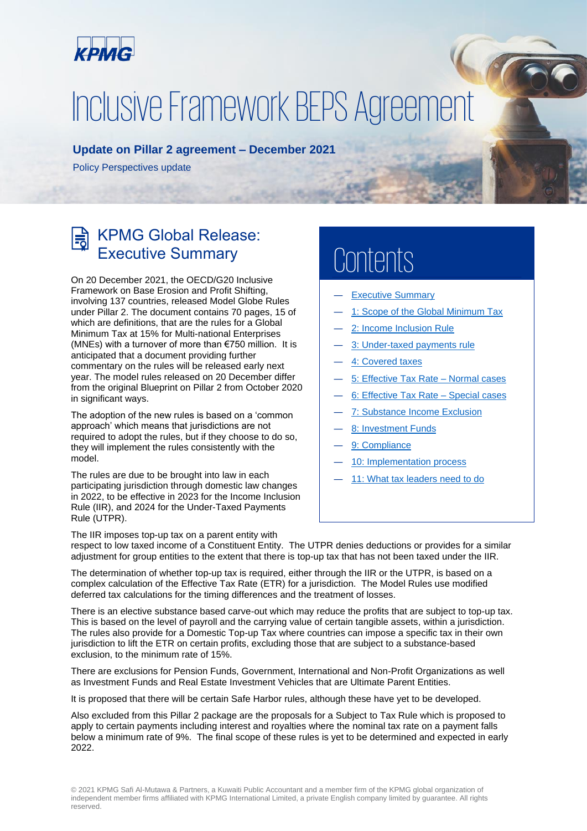<span id="page-0-0"></span>

# Inclusive Framework BEPS Agreement

#### **Update on Pillar 2 agreement – December 2021**

Policy Perspectives update

## KPMG Global Release: Executive Summary

On 20 December 2021, the OECD/G20 Inclusive Framework on Base Erosion and Profit Shifting, involving 137 countries, released Model Globe Rules under Pillar 2. The document contains 70 pages, 15 of which are definitions, that are the rules for a Global Minimum Tax at 15% for Multi-national Enterprises (MNEs) with a turnover of more than  $\epsilon$ 750 million. It is anticipated that a document providing further commentary on the rules will be released early next year. The model rules released on 20 December differ from the original Blueprint on Pillar 2 from October 2020 in significant ways.

The adoption of the new rules is based on a 'common approach' which means that jurisdictions are not required to adopt the rules, but if they choose to do so, they will implement the rules consistently with the model.

The rules are due to be brought into law in each participating jurisdiction through domestic law changes in 2022, to be effective in 2023 for the Income Inclusion Rule (IIR), and 2024 for the Under-Taxed Payments Rule (UTPR).

## **Contents**

- **[Executive Summary](#page-0-0)**
- [1: Scope of the Global Minimum Tax](#page-2-0)
- [2: Income Inclusion Rule](#page-3-0)
- [3: Under-taxed payments rule](#page-3-1)
- ― [4: Covered taxes](#page-4-0)
- ― [5: Effective Tax Rate](#page-6-0) Normal cases
- ― [6: Effective Tax Rate](#page-7-0) Special cases
- ― [7: Substance Income Exclusion](#page-9-0)
- ― [8: Investment Funds](#page-10-0)
- [9: Compliance](#page-11-0)
- [10: Implementation process](#page-13-0)
- [11: What tax leaders need to](#page-14-0) do

The IIR imposes top-up tax on a parent entity with respect to low taxed income of a Constituent Entity. The UTPR denies deductions or provides for a similar adjustment for group entities to the extent that there is top-up tax that has not been taxed under the IIR.

The determination of whether top-up tax is required, either through the IIR or the UTPR, is based on a complex calculation of the Effective Tax Rate (ETR) for a jurisdiction. The Model Rules use modified deferred tax calculations for the timing differences and the treatment of losses.

There is an elective substance based carve-out which may reduce the profits that are subject to top-up tax. This is based on the level of payroll and the carrying value of certain tangible assets, within a jurisdiction. The rules also provide for a Domestic Top-up Tax where countries can impose a specific tax in their own jurisdiction to lift the ETR on certain profits, excluding those that are subject to a substance-based exclusion, to the minimum rate of 15%.

There are exclusions for Pension Funds, Government, International and Non-Profit Organizations as well as Investment Funds and Real Estate Investment Vehicles that are Ultimate Parent Entities.

It is proposed that there will be certain Safe Harbor rules, although these have yet to be developed.

Also excluded from this Pillar 2 package are the proposals for a Subject to Tax Rule which is proposed to apply to certain payments including interest and royalties where the nominal tax rate on a payment falls below a minimum rate of 9%. The final scope of these rules is yet to be determined and expected in early 2022.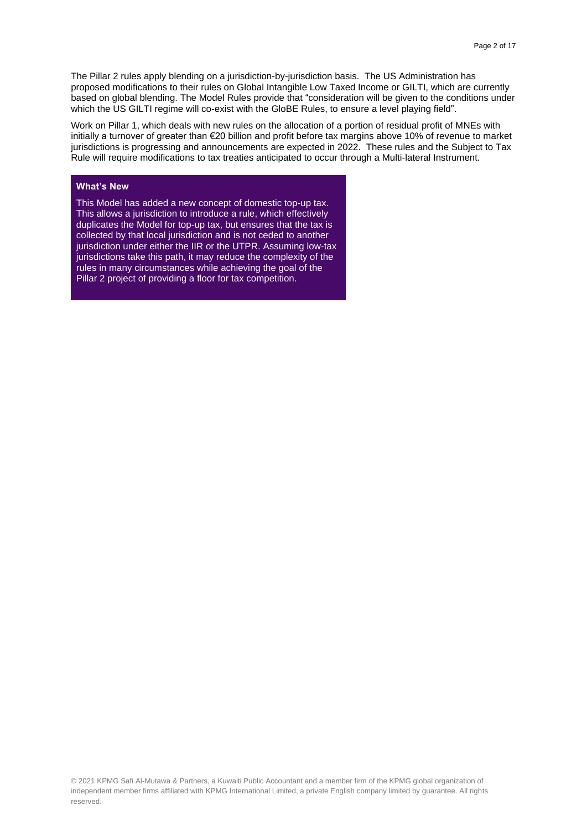The Pillar 2 rules apply blending on a jurisdiction-by-jurisdiction basis. The US Administration has proposed modifications to their rules on Global Intangible Low Taxed Income or GILTI, which are currently based on global blending. The Model Rules provide that "consideration will be given to the conditions under which the US GILTI regime will co-exist with the GloBE Rules, to ensure a level playing field".

Work on Pillar 1, which deals with new rules on the allocation of a portion of residual profit of MNEs with initially a turnover of greater than €20 billion and profit before tax margins above 10% of revenue to market jurisdictions is progressing and announcements are expected in 2022. These rules and the Subject to Tax Rule will require modifications to tax treaties anticipated to occur through a Multi-lateral Instrument.

#### **What's New**

This Model has added a new concept of domestic top-up tax. This allows a jurisdiction to introduce a rule, which effectively duplicates the Model for top-up tax, but ensures that the tax is collected by that local jurisdiction and is not ceded to another jurisdiction under either the IIR or the UTPR. Assuming low-tax jurisdictions take this path, it may reduce the complexity of the rules in many circumstances while achieving the goal of the Pillar 2 project of providing a floor for tax competition.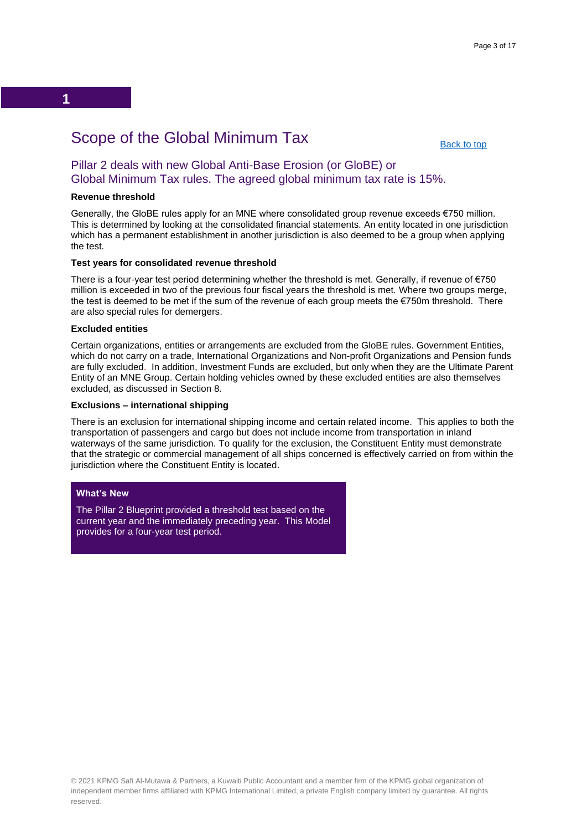## Scope of the Global Minimum Tax

[Back to top](#page-0-0)

### <span id="page-2-0"></span>Pillar 2 deals with new Global Anti-Base Erosion (or GloBE) or Global Minimum Tax rules. The agreed global minimum tax rate is 15%.

#### **Revenue threshold**

**1**

Generally, the GloBE rules apply for an MNE where consolidated group revenue exceeds €750 million. This is determined by looking at the consolidated financial statements. An entity located in one jurisdiction which has a permanent establishment in another jurisdiction is also deemed to be a group when applying the test.

#### **Test years for consolidated revenue threshold**

There is a four-year test period determining whether the threshold is met. Generally, if revenue of  $\epsilon$ 750 million is exceeded in two of the previous four fiscal years the threshold is met. Where two groups merge, the test is deemed to be met if the sum of the revenue of each group meets the €750m threshold. There are also special rules for demergers.

#### **Excluded entities**

Certain organizations, entities or arrangements are excluded from the GloBE rules. Government Entities, which do not carry on a trade, International Organizations and Non-profit Organizations and Pension funds are fully excluded. In addition, Investment Funds are excluded, but only when they are the Ultimate Parent Entity of an MNE Group. Certain holding vehicles owned by these excluded entities are also themselves excluded, as discussed in Section 8.

#### **Exclusions – international shipping**

There is an exclusion for international shipping income and certain related income. This applies to both the transportation of passengers and cargo but does not include income from transportation in inland waterways of the same jurisdiction. To qualify for the exclusion, the Constituent Entity must demonstrate that the strategic or commercial management of all ships concerned is effectively carried on from within the jurisdiction where the Constituent Entity is located.

#### **What's New**

The Pillar 2 Blueprint provided a threshold test based on the current year and the immediately preceding year. This Model provides for a four-year test period.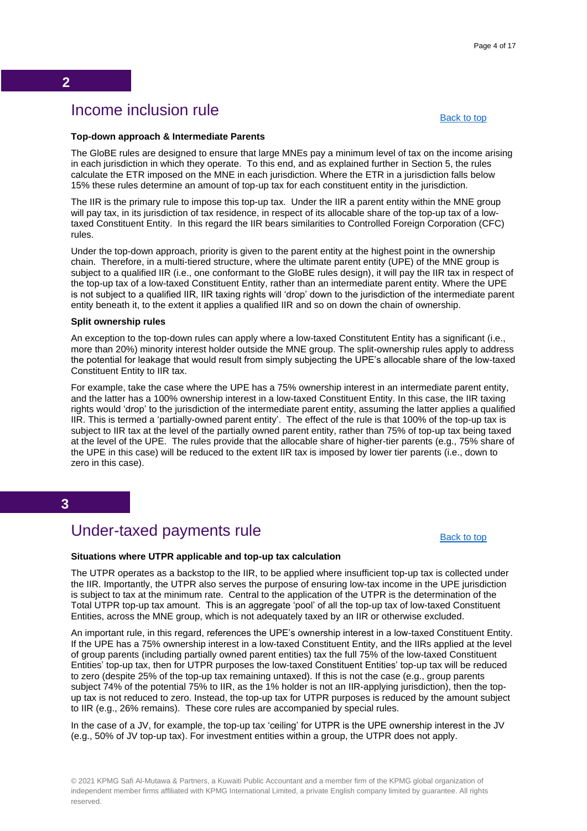## Income inclusion rule

[Back to top](#page-0-0)

#### <span id="page-3-0"></span>**Top-down approach & Intermediate Parents**

The GloBE rules are designed to ensure that large MNEs pay a minimum level of tax on the income arising in each jurisdiction in which they operate. To this end, and as explained further in Section 5, the rules calculate the ETR imposed on the MNE in each jurisdiction. Where the ETR in a jurisdiction falls below 15% these rules determine an amount of top-up tax for each constituent entity in the jurisdiction.

The IIR is the primary rule to impose this top-up tax. Under the IIR a parent entity within the MNE group will pay tax, in its jurisdiction of tax residence, in respect of its allocable share of the top-up tax of a lowtaxed Constituent Entity. In this regard the IIR bears similarities to Controlled Foreign Corporation (CFC) rules.

Under the top-down approach, priority is given to the parent entity at the highest point in the ownership chain. Therefore, in a multi-tiered structure, where the ultimate parent entity (UPE) of the MNE group is subject to a qualified IIR (i.e., one conformant to the GloBE rules design), it will pay the IIR tax in respect of the top-up tax of a low-taxed Constituent Entity, rather than an intermediate parent entity. Where the UPE is not subject to a qualified IIR, IIR taxing rights will 'drop' down to the jurisdiction of the intermediate parent entity beneath it, to the extent it applies a qualified IIR and so on down the chain of ownership.

#### **Split ownership rules**

An exception to the top-down rules can apply where a low-taxed Constitutent Entity has a significant (i.e., more than 20%) minority interest holder outside the MNE group. The split-ownership rules apply to address the potential for leakage that would result from simply subjecting the UPE's allocable share of the low-taxed Constituent Entity to IIR tax.

For example, take the case where the UPE has a 75% ownership interest in an intermediate parent entity, and the latter has a 100% ownership interest in a low-taxed Constituent Entity. In this case, the IIR taxing rights would 'drop' to the jurisdiction of the intermediate parent entity, assuming the latter applies a qualified IIR. This is termed a 'partially-owned parent entity'. The effect of the rule is that 100% of the top-up tax is subject to IIR tax at the level of the partially owned parent entity, rather than 75% of top-up tax being taxed at the level of the UPE. The rules provide that the allocable share of higher-tier parents (e.g., 75% share of the UPE in this case) will be reduced to the extent IIR tax is imposed by lower tier parents (i.e., down to zero in this case).

#### **3**

## Under-taxed payments rule

[Back to top](#page-0-0)

#### <span id="page-3-1"></span>**Situations where UTPR applicable and top-up tax calculation**

The UTPR operates as a backstop to the IIR, to be applied where insufficient top-up tax is collected under the IIR. Importantly, the UTPR also serves the purpose of ensuring low-tax income in the UPE jurisdiction is subject to tax at the minimum rate. Central to the application of the UTPR is the determination of the Total UTPR top-up tax amount. This is an aggregate 'pool' of all the top-up tax of low-taxed Constituent Entities, across the MNE group, which is not adequately taxed by an IIR or otherwise excluded.

An important rule, in this regard, references the UPE's ownership interest in a low-taxed Constituent Entity. If the UPE has a 75% ownership interest in a low-taxed Constituent Entity, and the IIRs applied at the level of group parents (including partially owned parent entities) tax the full 75% of the low-taxed Constituent Entities' top-up tax, then for UTPR purposes the low-taxed Constituent Entities' top-up tax will be reduced to zero (despite 25% of the top-up tax remaining untaxed). If this is not the case (e.g., group parents subject 74% of the potential 75% to IIR, as the 1% holder is not an IIR-applying jurisdiction), then the topup tax is not reduced to zero. Instead, the top-up tax for UTPR purposes is reduced by the amount subject to IIR (e.g., 26% remains). These core rules are accompanied by special rules.

In the case of a JV, for example, the top-up tax 'ceiling' for UTPR is the UPE ownership interest in the JV (e.g., 50% of JV top-up tax). For investment entities within a group, the UTPR does not apply.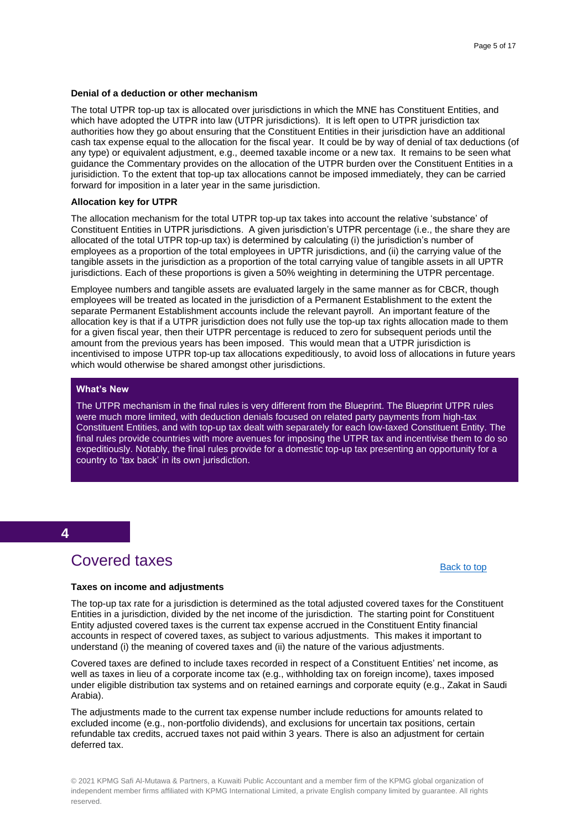#### **Denial of a deduction or other mechanism**

The total UTPR top-up tax is allocated over jurisdictions in which the MNE has Constituent Entities, and which have adopted the UTPR into law (UTPR jurisdictions). It is left open to UTPR jurisdiction tax authorities how they go about ensuring that the Constituent Entities in their jurisdiction have an additional cash tax expense equal to the allocation for the fiscal year. It could be by way of denial of tax deductions (of any type) or equivalent adjustment, e.g., deemed taxable income or a new tax. It remains to be seen what guidance the Commentary provides on the allocation of the UTPR burden over the Constituent Entities in a jurisidiction. To the extent that top-up tax allocations cannot be imposed immediately, they can be carried forward for imposition in a later year in the same jurisdiction.

#### **Allocation key for UTPR**

The allocation mechanism for the total UTPR top-up tax takes into account the relative 'substance' of Constituent Entities in UTPR jurisdictions. A given jurisdiction's UTPR percentage (i.e., the share they are allocated of the total UTPR top-up tax) is determined by calculating (i) the jurisdiction's number of employees as a proportion of the total employees in UPTR jurisdictions, and (ii) the carrying value of the tangible assets in the jurisdiction as a proportion of the total carrying value of tangible assets in all UPTR jurisdictions. Each of these proportions is given a 50% weighting in determining the UTPR percentage.

Employee numbers and tangible assets are evaluated largely in the same manner as for CBCR, though employees will be treated as located in the jurisdiction of a Permanent Establishment to the extent the separate Permanent Establishment accounts include the relevant payroll. An important feature of the allocation key is that if a UTPR jurisdiction does not fully use the top-up tax rights allocation made to them for a given fiscal year, then their UTPR percentage is reduced to zero for subsequent periods until the amount from the previous years has been imposed. This would mean that a UTPR jurisdiction is incentivised to impose UTPR top-up tax allocations expeditiously, to avoid loss of allocations in future years which would otherwise be shared amongst other jurisdictions.

#### **What's New**

The UTPR mechanism in the final rules is very different from the Blueprint. The Blueprint UTPR rules were much more limited, with deduction denials focused on related party payments from high-tax Constituent Entities, and with top-up tax dealt with separately for each low-taxed Constituent Entity. The final rules provide countries with more avenues for imposing the UTPR tax and incentivise them to do so expeditiously. Notably, the final rules provide for a domestic top-up tax presenting an opportunity for a country to 'tax back' in its own jurisdiction.

#### **4**

## Covered taxes

#### [Back to top](#page-0-0)

#### <span id="page-4-0"></span>**Taxes on income and adjustments**

The top-up tax rate for a jurisdiction is determined as the total adjusted covered taxes for the Constituent Entities in a jurisdiction, divided by the net income of the jurisdiction. The starting point for Constituent Entity adjusted covered taxes is the current tax expense accrued in the Constituent Entity financial accounts in respect of covered taxes, as subject to various adjustments. This makes it important to understand (i) the meaning of covered taxes and (ii) the nature of the various adjustments.

Covered taxes are defined to include taxes recorded in respect of a Constituent Entities' net income, as well as taxes in lieu of a corporate income tax (e.g., withholding tax on foreign income), taxes imposed under eligible distribution tax systems and on retained earnings and corporate equity (e.g., Zakat in Saudi Arabia).

The adjustments made to the current tax expense number include reductions for amounts related to excluded income (e.g., non-portfolio dividends), and exclusions for uncertain tax positions, certain refundable tax credits, accrued taxes not paid within 3 years. There is also an adjustment for certain deferred tax.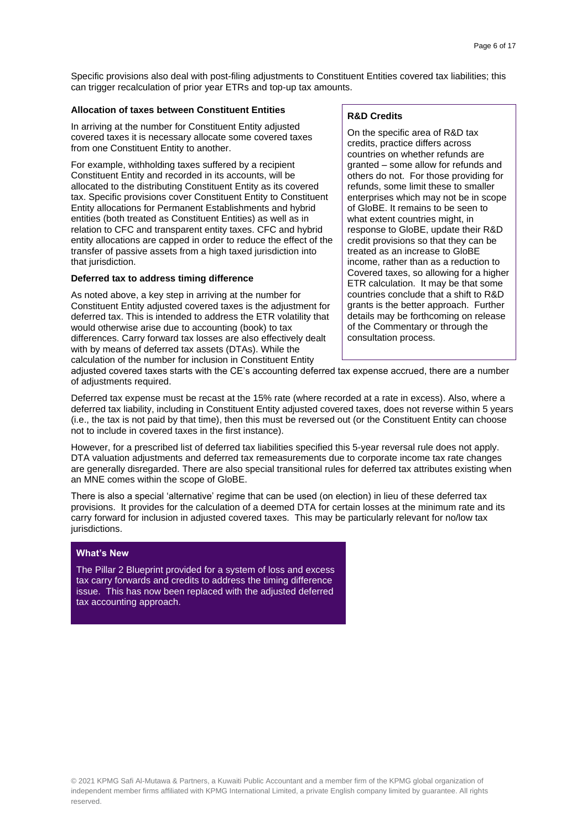Specific provisions also deal with post-filing adjustments to Constituent Entities covered tax liabilities; this can trigger recalculation of prior year ETRs and top-up tax amounts.

#### **Allocation of taxes between Constituent Entities**

In arriving at the number for Constituent Entity adjusted covered taxes it is necessary allocate some covered taxes from one Constituent Entity to another.

For example, withholding taxes suffered by a recipient Constituent Entity and recorded in its accounts, will be allocated to the distributing Constituent Entity as its covered tax. Specific provisions cover Constituent Entity to Constituent Entity allocations for Permanent Establishments and hybrid entities (both treated as Constituent Entities) as well as in relation to CFC and transparent entity taxes. CFC and hybrid entity allocations are capped in order to reduce the effect of the transfer of passive assets from a high taxed jurisdiction into that jurisdiction.

#### **Deferred tax to address timing difference**

As noted above, a key step in arriving at the number for Constituent Entity adjusted covered taxes is the adjustment for deferred tax. This is intended to address the ETR volatility that would otherwise arise due to accounting (book) to tax differences. Carry forward tax losses are also effectively dealt with by means of deferred tax assets (DTAs). While the calculation of the number for inclusion in Constituent Entity

#### **R&D Credits**

On the specific area of R&D tax credits, practice differs across countries on whether refunds are granted – some allow for refunds and others do not. For those providing for refunds, some limit these to smaller enterprises which may not be in scope of GloBE. It remains to be seen to what extent countries might, in response to GloBE, update their R&D credit provisions so that they can be treated as an increase to GloBE income, rather than as a reduction to Covered taxes, so allowing for a higher ETR calculation. It may be that some countries conclude that a shift to R&D grants is the better approach. Further details may be forthcoming on release of the Commentary or through the consultation process.

adjusted covered taxes starts with the CE's accounting deferred tax expense accrued, there are a number of adjustments required.

Deferred tax expense must be recast at the 15% rate (where recorded at a rate in excess). Also, where a deferred tax liability, including in Constituent Entity adjusted covered taxes, does not reverse within 5 years (i.e., the tax is not paid by that time), then this must be reversed out (or the Constituent Entity can choose not to include in covered taxes in the first instance).

However, for a prescribed list of deferred tax liabilities specified this 5-year reversal rule does not apply. DTA valuation adjustments and deferred tax remeasurements due to corporate income tax rate changes are generally disregarded. There are also special transitional rules for deferred tax attributes existing when an MNE comes within the scope of GloBE.

There is also a special 'alternative' regime that can be used (on election) in lieu of these deferred tax provisions. It provides for the calculation of a deemed DTA for certain losses at the minimum rate and its carry forward for inclusion in adjusted covered taxes. This may be particularly relevant for no/low tax jurisdictions.

#### **What's New**

The Pillar 2 Blueprint provided for a system of loss and excess tax carry forwards and credits to address the timing difference issue. This has now been replaced with the adjusted deferred tax accounting approach.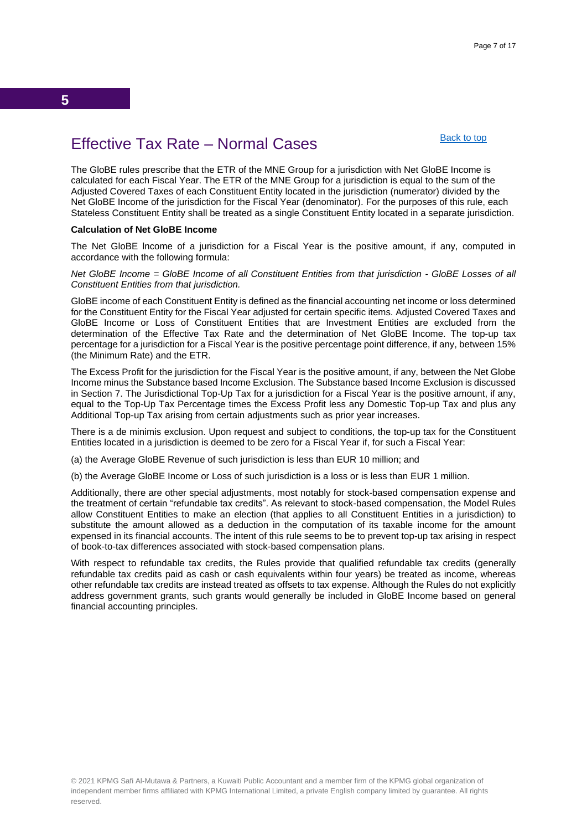## <span id="page-6-0"></span>Effective Tax Rate – Normal Cases

[Back to top](#page-0-0)

The GloBE rules prescribe that the ETR of the MNE Group for a jurisdiction with Net GloBE Income is calculated for each Fiscal Year. The ETR of the MNE Group for a jurisdiction is equal to the sum of the Adjusted Covered Taxes of each Constituent Entity located in the jurisdiction (numerator) divided by the Net GloBE Income of the jurisdiction for the Fiscal Year (denominator). For the purposes of this rule, each Stateless Constituent Entity shall be treated as a single Constituent Entity located in a separate jurisdiction.

#### **Calculation of Net GloBE Income**

The Net GloBE lncome of a jurisdiction for a Fiscal Year is the positive amount, if any, computed in accordance with the following formula:

*Net GloBE Income = GloBE Income of all Constituent Entities from that jurisdiction - GloBE Losses of all Constituent Entities from that jurisdiction.*

GloBE income of each Constituent Entity is defined as the financial accounting net income or loss determined for the Constituent Entity for the Fiscal Year adjusted for certain specific items. Adjusted Covered Taxes and GloBE Income or Loss of Constituent Entities that are Investment Entities are excluded from the determination of the Effective Tax Rate and the determination of Net GloBE Income. The top-up tax percentage for a jurisdiction for a Fiscal Year is the positive percentage point difference, if any, between 15% (the Minimum Rate) and the ETR.

The Excess Profit for the jurisdiction for the Fiscal Year is the positive amount, if any, between the Net Globe Income minus the Substance based Income Exclusion. The Substance based Income Exclusion is discussed in Section 7. The Jurisdictional Top-Up Tax for a jurisdiction for a Fiscal Year is the positive amount, if any, equal to the Top-Up Tax Percentage times the Excess Profit less any Domestic Top-up Tax and plus any Additional Top-up Tax arising from certain adjustments such as prior year increases.

There is a de minimis exclusion. Upon request and subject to conditions, the top-up tax for the Constituent Entities located in a jurisdiction is deemed to be zero for a Fiscal Year if, for such a Fiscal Year:

(a) the Average GloBE Revenue of such jurisdiction is less than EUR 10 million; and

(b) the Average GloBE Income or Loss of such jurisdiction is a loss or is less than EUR 1 million.

Additionally, there are other special adjustments, most notably for stock-based compensation expense and the treatment of certain "refundable tax credits". As relevant to stock-based compensation, the Model Rules allow Constituent Entities to make an election (that applies to all Constituent Entities in a jurisdiction) to substitute the amount allowed as a deduction in the computation of its taxable income for the amount expensed in its financial accounts. The intent of this rule seems to be to prevent top-up tax arising in respect of book-to-tax differences associated with stock-based compensation plans.

With respect to refundable tax credits, the Rules provide that qualified refundable tax credits (generally refundable tax credits paid as cash or cash equivalents within four years) be treated as income, whereas other refundable tax credits are instead treated as offsets to tax expense. Although the Rules do not explicitly address government grants, such grants would generally be included in GloBE Income based on general financial accounting principles.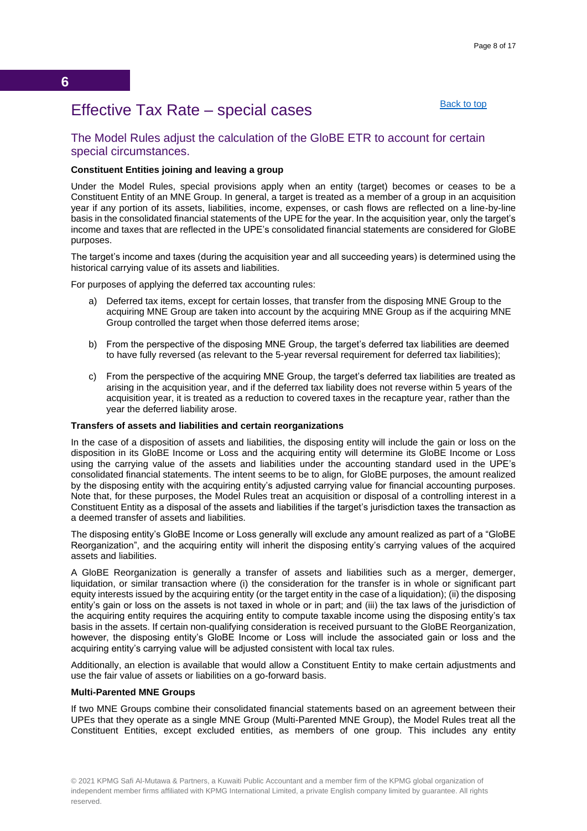#### [Back to top](#page-0-0)

## <span id="page-7-0"></span>Effective Tax Rate – special cases

#### The Model Rules adjust the calculation of the GloBE ETR to account for certain special circumstances.

#### **Constituent Entities joining and leaving a group**

Under the Model Rules, special provisions apply when an entity (target) becomes or ceases to be a Constituent Entity of an MNE Group. In general, a target is treated as a member of a group in an acquisition year if any portion of its assets, liabilities, income, expenses, or cash flows are reflected on a line-by-line basis in the consolidated financial statements of the UPE for the year. In the acquisition year, only the target's income and taxes that are reflected in the UPE's consolidated financial statements are considered for GloBE purposes.

The target's income and taxes (during the acquisition year and all succeeding years) is determined using the historical carrying value of its assets and liabilities.

For purposes of applying the deferred tax accounting rules:

- a) Deferred tax items, except for certain losses, that transfer from the disposing MNE Group to the acquiring MNE Group are taken into account by the acquiring MNE Group as if the acquiring MNE Group controlled the target when those deferred items arose;
- b) From the perspective of the disposing MNE Group, the target's deferred tax liabilities are deemed to have fully reversed (as relevant to the 5-year reversal requirement for deferred tax liabilities);
- c) From the perspective of the acquiring MNE Group, the target's deferred tax liabilities are treated as arising in the acquisition year, and if the deferred tax liability does not reverse within 5 years of the acquisition year, it is treated as a reduction to covered taxes in the recapture year, rather than the year the deferred liability arose.

#### **Transfers of assets and liabilities and certain reorganizations**

In the case of a disposition of assets and liabilities, the disposing entity will include the gain or loss on the disposition in its GloBE Income or Loss and the acquiring entity will determine its GloBE Income or Loss using the carrying value of the assets and liabilities under the accounting standard used in the UPE's consolidated financial statements. The intent seems to be to align, for GloBE purposes, the amount realized by the disposing entity with the acquiring entity's adjusted carrying value for financial accounting purposes. Note that, for these purposes, the Model Rules treat an acquisition or disposal of a controlling interest in a Constituent Entity as a disposal of the assets and liabilities if the target's jurisdiction taxes the transaction as a deemed transfer of assets and liabilities.

The disposing entity's GloBE Income or Loss generally will exclude any amount realized as part of a "GloBE Reorganization", and the acquiring entity will inherit the disposing entity's carrying values of the acquired assets and liabilities.

A GloBE Reorganization is generally a transfer of assets and liabilities such as a merger, demerger, liquidation, or similar transaction where (i) the consideration for the transfer is in whole or significant part equity interests issued by the acquiring entity (or the target entity in the case of a liquidation); (ii) the disposing entity's gain or loss on the assets is not taxed in whole or in part; and (iii) the tax laws of the jurisdiction of the acquiring entity requires the acquiring entity to compute taxable income using the disposing entity's tax basis in the assets. If certain non-qualifying consideration is received pursuant to the GloBE Reorganization, however, the disposing entity's GloBE Income or Loss will include the associated gain or loss and the acquiring entity's carrying value will be adjusted consistent with local tax rules.

Additionally, an election is available that would allow a Constituent Entity to make certain adjustments and use the fair value of assets or liabilities on a go-forward basis.

#### **Multi-Parented MNE Groups**

If two MNE Groups combine their consolidated financial statements based on an agreement between their UPEs that they operate as a single MNE Group (Multi-Parented MNE Group), the Model Rules treat all the Constituent Entities, except excluded entities, as members of one group. This includes any entity

<sup>© 2021</sup> KPMG Safi Al-Mutawa & Partners, a Kuwaiti Public Accountant and a member firm of the KPMG global organization of independent member firms affiliated with KPMG International Limited, a private English company limited by guarantee. All rights reserved.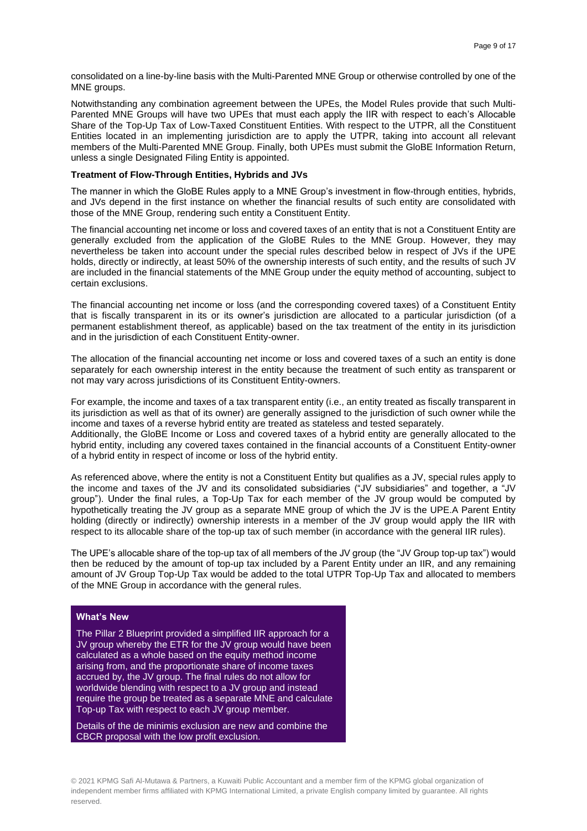consolidated on a line-by-line basis with the Multi-Parented MNE Group or otherwise controlled by one of the MNE groups.

Notwithstanding any combination agreement between the UPEs, the Model Rules provide that such Multi-Parented MNE Groups will have two UPEs that must each apply the IIR with respect to each's Allocable Share of the Top-Up Tax of Low-Taxed Constituent Entities. With respect to the UTPR, all the Constituent Entities located in an implementing jurisdiction are to apply the UTPR, taking into account all relevant members of the Multi-Parented MNE Group. Finally, both UPEs must submit the GloBE Information Return, unless a single Designated Filing Entity is appointed.

#### **Treatment of Flow-Through Entities, Hybrids and JVs**

The manner in which the GloBE Rules apply to a MNE Group's investment in flow-through entities, hybrids, and JVs depend in the first instance on whether the financial results of such entity are consolidated with those of the MNE Group, rendering such entity a Constituent Entity.

The financial accounting net income or loss and covered taxes of an entity that is not a Constituent Entity are generally excluded from the application of the GloBE Rules to the MNE Group. However, they may nevertheless be taken into account under the special rules described below in respect of JVs if the UPE holds, directly or indirectly, at least 50% of the ownership interests of such entity, and the results of such JV are included in the financial statements of the MNE Group under the equity method of accounting, subject to certain exclusions. 

The financial accounting net income or loss (and the corresponding covered taxes) of a Constituent Entity that is fiscally transparent in its or its owner's jurisdiction are allocated to a particular jurisdiction (of a permanent establishment thereof, as applicable) based on the tax treatment of the entity in its jurisdiction and in the jurisdiction of each Constituent Entity-owner.

The allocation of the financial accounting net income or loss and covered taxes of a such an entity is done separately for each ownership interest in the entity because the treatment of such entity as transparent or not may vary across jurisdictions of its Constituent Entity-owners.

For example, the income and taxes of a tax transparent entity (i.e., an entity treated as fiscally transparent in its jurisdiction as well as that of its owner) are generally assigned to the jurisdiction of such owner while the income and taxes of a reverse hybrid entity are treated as stateless and tested separately.

Additionally, the GloBE Income or Loss and covered taxes of a hybrid entity are generally allocated to the hybrid entity, including any covered taxes contained in the financial accounts of a Constituent Entity-owner of a hybrid entity in respect of income or loss of the hybrid entity.

As referenced above, where the entity is not a Constituent Entity but qualifies as a JV, special rules apply to the income and taxes of the JV and its consolidated subsidiaries ("JV subsidiaries" and together, a "JV group"). Under the final rules, a Top-Up Tax for each member of the JV group would be computed by hypothetically treating the JV group as a separate MNE group of which the JV is the UPE.A Parent Entity holding (directly or indirectly) ownership interests in a member of the JV group would apply the IIR with respect to its allocable share of the top-up tax of such member (in accordance with the general IIR rules).

The UPE's allocable share of the top-up tax of all members of the JV group (the "JV Group top-up tax") would then be reduced by the amount of top-up tax included by a Parent Entity under an IIR, and any remaining amount of JV Group Top-Up Tax would be added to the total UTPR Top-Up Tax and allocated to members of the MNE Group in accordance with the general rules.

#### **What's New**

The Pillar 2 Blueprint provided a simplified IIR approach for a JV group whereby the ETR for the JV group would have been calculated as a whole based on the equity method income arising from, and the proportionate share of income taxes accrued by, the JV group. The final rules do not allow for worldwide blending with respect to a JV group and instead require the group be treated as a separate MNE and calculate Top-up Tax with respect to each JV group member.

Details of the de minimis exclusion are new and combine the CBCR proposal with the low profit exclusion.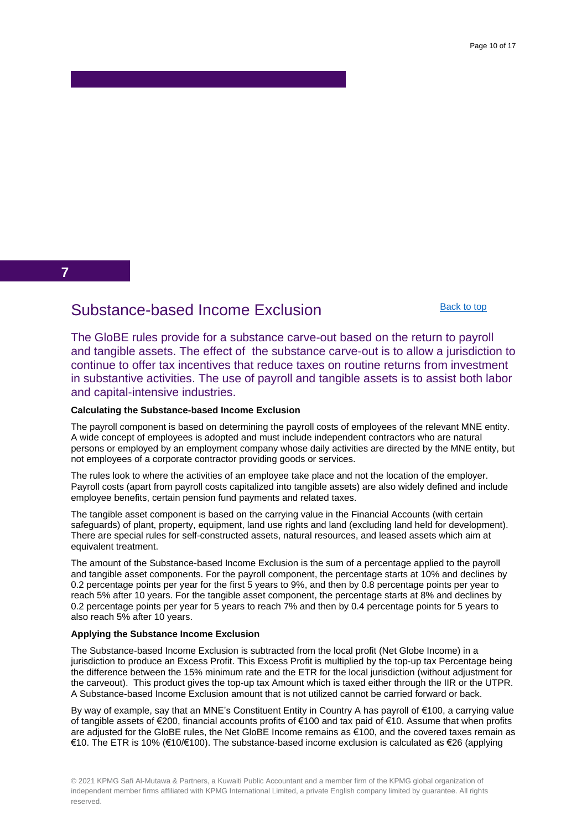**7**

## <span id="page-9-0"></span>Substance-based Income Exclusion

[Back to top](#page-0-0)

The GloBE rules provide for a substance carve-out based on the return to payroll and tangible assets. The effect of the substance carve-out is to allow a jurisdiction to continue to offer tax incentives that reduce taxes on routine returns from investment in substantive activities. The use of payroll and tangible assets is to assist both labor and capital-intensive industries.

#### **Calculating the Substance-based Income Exclusion**

The payroll component is based on determining the payroll costs of employees of the relevant MNE entity. A wide concept of employees is adopted and must include independent contractors who are natural persons or employed by an employment company whose daily activities are directed by the MNE entity, but not employees of a corporate contractor providing goods or services.

The rules look to where the activities of an employee take place and not the location of the employer. Payroll costs (apart from payroll costs capitalized into tangible assets) are also widely defined and include employee benefits, certain pension fund payments and related taxes.

The tangible asset component is based on the carrying value in the Financial Accounts (with certain safeguards) of plant, property, equipment, land use rights and land (excluding land held for development). There are special rules for self-constructed assets, natural resources, and leased assets which aim at equivalent treatment.

The amount of the Substance-based Income Exclusion is the sum of a percentage applied to the payroll and tangible asset components. For the payroll component, the percentage starts at 10% and declines by 0.2 percentage points per year for the first 5 years to 9%, and then by 0.8 percentage points per year to reach 5% after 10 years. For the tangible asset component, the percentage starts at 8% and declines by 0.2 percentage points per year for 5 years to reach 7% and then by 0.4 percentage points for 5 years to also reach 5% after 10 years.

#### **Applying the Substance Income Exclusion**

The Substance-based Income Exclusion is subtracted from the local profit (Net Globe Income) in a jurisdiction to produce an Excess Profit. This Excess Profit is multiplied by the top-up tax Percentage being the difference between the 15% minimum rate and the ETR for the local jurisdiction (without adjustment for the carveout). This product gives the top-up tax Amount which is taxed either through the IIR or the UTPR. A Substance-based Income Exclusion amount that is not utilized cannot be carried forward or back.

By way of example, say that an MNE's Constituent Entity in Country A has payroll of €100, a carrying value of tangible assets of €200, financial accounts profits of €100 and tax paid of €10. Assume that when profits are adjusted for the GloBE rules, the Net GloBE Income remains as €100, and the covered taxes remain as €10. The ETR is 10% (€10/€100). The substance-based income exclusion is calculated as €26 (applying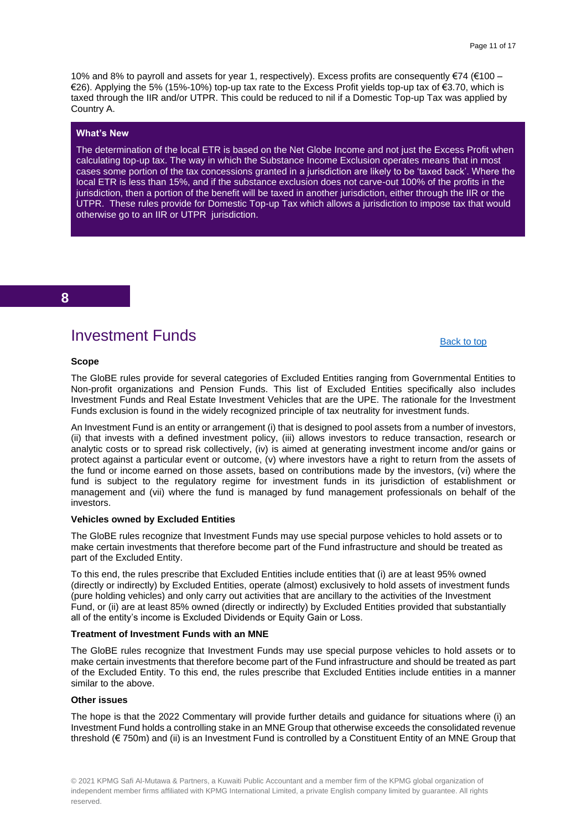10% and 8% to payroll and assets for year 1, respectively). Excess profits are consequently €74 (€100 – €26). Applying the 5% (15%-10%) top-up tax rate to the Excess Profit yields top-up tax of €3.70, which is taxed through the IIR and/or UTPR. This could be reduced to nil if a Domestic Top-up Tax was applied by Country A.

#### **What's New**

The determination of the local ETR is based on the Net Globe Income and not just the Excess Profit when calculating top-up tax. The way in which the Substance Income Exclusion operates means that in most cases some portion of the tax concessions granted in a jurisdiction are likely to be 'taxed back'. Where the local ETR is less than 15%, and if the substance exclusion does not carve-out 100% of the profits in the jurisdiction, then a portion of the benefit will be taxed in another jurisdiction, either through the IIR or the UTPR. These rules provide for Domestic Top-up Tax which allows a jurisdiction to impose tax that would otherwise go to an IIR or UTPR jurisdiction.

#### **8**

## Investment Funds

#### [Back to top](#page-0-0)

#### <span id="page-10-0"></span>**Scope**

The GloBE rules provide for several categories of Excluded Entities ranging from Governmental Entities to Non-profit organizations and Pension Funds. This list of Excluded Entities specifically also includes Investment Funds and Real Estate Investment Vehicles that are the UPE. The rationale for the Investment Funds exclusion is found in the widely recognized principle of tax neutrality for investment funds.

An Investment Fund is an entity or arrangement (i) that is designed to pool assets from a number of investors, (ii) that invests with a defined investment policy, (iii) allows investors to reduce transaction, research or analytic costs or to spread risk collectively, (iv) is aimed at generating investment income and/or gains or protect against a particular event or outcome, (v) where investors have a right to return from the assets of the fund or income earned on those assets, based on contributions made by the investors, (vi) where the fund is subject to the regulatory regime for investment funds in its jurisdiction of establishment or management and (vii) where the fund is managed by fund management professionals on behalf of the investors.

#### **Vehicles owned by Excluded Entities**

The GloBE rules recognize that Investment Funds may use special purpose vehicles to hold assets or to make certain investments that therefore become part of the Fund infrastructure and should be treated as part of the Excluded Entity.

To this end, the rules prescribe that Excluded Entities include entities that (i) are at least 95% owned (directly or indirectly) by Excluded Entities, operate (almost) exclusively to hold assets of investment funds (pure holding vehicles) and only carry out activities that are ancillary to the activities of the Investment Fund, or (ii) are at least 85% owned (directly or indirectly) by Excluded Entities provided that substantially all of the entity's income is Excluded Dividends or Equity Gain or Loss.

#### **Treatment of Investment Funds with an MNE**

The GloBE rules recognize that Investment Funds may use special purpose vehicles to hold assets or to make certain investments that therefore become part of the Fund infrastructure and should be treated as part of the Excluded Entity. To this end, the rules prescribe that Excluded Entities include entities in a manner similar to the above.

#### **Other issues**

The hope is that the 2022 Commentary will provide further details and guidance for situations where (i) an Investment Fund holds a controlling stake in an MNE Group that otherwise exceeds the consolidated revenue threshold (€ 750m) and (ii) is an Investment Fund is controlled by a Constituent Entity of an MNE Group that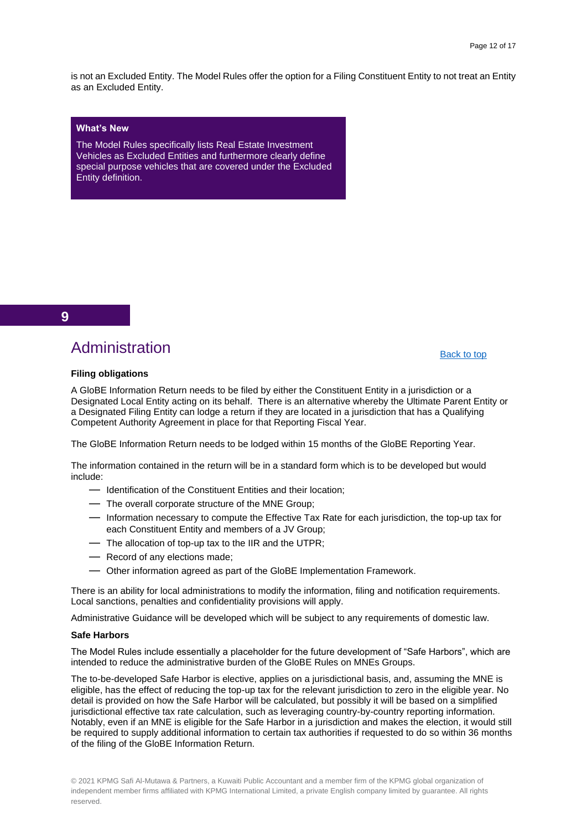is not an Excluded Entity. The Model Rules offer the option for a Filing Constituent Entity to not treat an Entity as an Excluded Entity.

#### **What's New**

The Model Rules specifically lists Real Estate Investment Vehicles as Excluded Entities and furthermore clearly define special purpose vehicles that are covered under the Excluded Entity definition.

#### **9**

## Administration

#### [Back to top](#page-0-0)

#### <span id="page-11-0"></span>**Filing obligations**

A GloBE Information Return needs to be filed by either the Constituent Entity in a jurisdiction or a Designated Local Entity acting on its behalf. There is an alternative whereby the Ultimate Parent Entity or a Designated Filing Entity can lodge a return if they are located in a jurisdiction that has a Qualifying Competent Authority Agreement in place for that Reporting Fiscal Year.

The GloBE Information Return needs to be lodged within 15 months of the GloBE Reporting Year.

The information contained in the return will be in a standard form which is to be developed but would include:

- ― Identification of the Constituent Entities and their location;
- ― The overall corporate structure of the MNE Group;
- ― Information necessary to compute the Effective Tax Rate for each jurisdiction, the top-up tax for each Constituent Entity and members of a JV Group;
- ― The allocation of top-up tax to the IIR and the UTPR;
- ― Record of any elections made;
- ― Other information agreed as part of the GloBE Implementation Framework.

There is an ability for local administrations to modify the information, filing and notification requirements. Local sanctions, penalties and confidentiality provisions will apply.

Administrative Guidance will be developed which will be subject to any requirements of domestic law.

#### **Safe Harbors**

The Model Rules include essentially a placeholder for the future development of "Safe Harbors", which are intended to reduce the administrative burden of the GloBE Rules on MNEs Groups.

The to-be-developed Safe Harbor is elective, applies on a jurisdictional basis, and, assuming the MNE is eligible, has the effect of reducing the top-up tax for the relevant jurisdiction to zero in the eligible year. No detail is provided on how the Safe Harbor will be calculated, but possibly it will be based on a simplified jurisdictional effective tax rate calculation, such as leveraging country-by-country reporting information. Notably, even if an MNE is eligible for the Safe Harbor in a jurisdiction and makes the election, it would still be required to supply additional information to certain tax authorities if requested to do so within 36 months of the filing of the GloBE Information Return.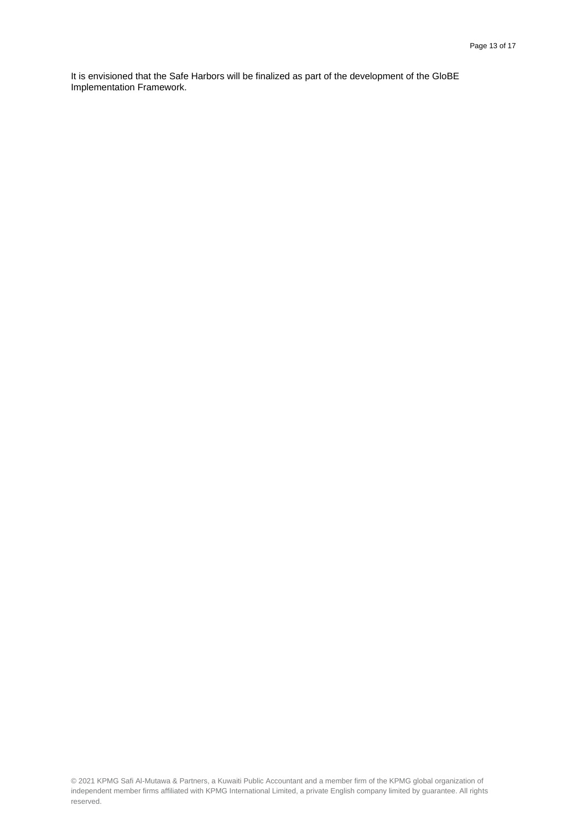It is envisioned that the Safe Harbors will be finalized as part of the development of the GloBE Implementation Framework.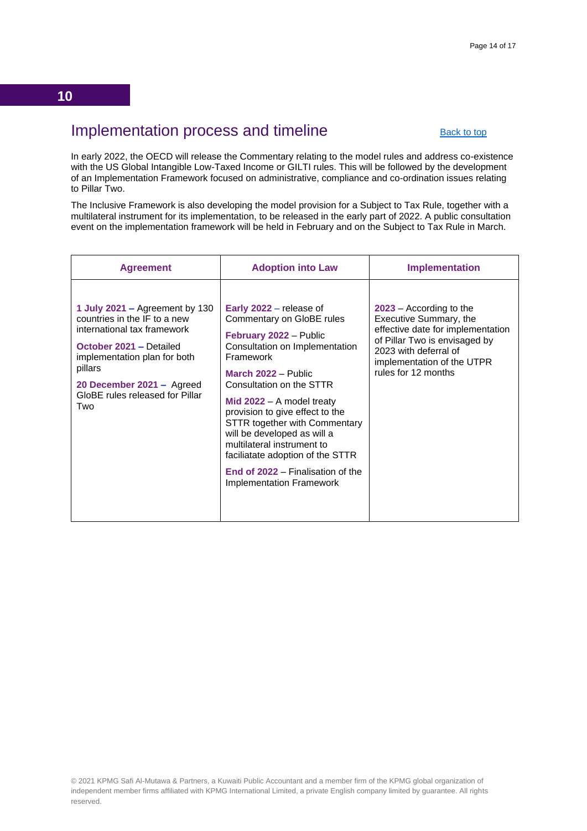## <span id="page-13-0"></span>Implementation process and timeline

[Back to top](#page-0-0)

In early 2022, the OECD will release the Commentary relating to the model rules and address co-existence with the US Global Intangible Low-Taxed Income or GILTI rules. This will be followed by the development of an Implementation Framework focused on administrative, compliance and co-ordination issues relating to Pillar Two.

The Inclusive Framework is also developing the model provision for a Subject to Tax Rule, together with a multilateral instrument for its implementation, to be released in the early part of 2022. A public consultation event on the implementation framework will be held in February and on the Subject to Tax Rule in March.

| <b>Agreement</b>                                                                                                                                                                                                                           | <b>Adoption into Law</b>                                                                                                                                                                                                                                                                                                                                                                                                                                            | <b>Implementation</b>                                                                                                                                                                                   |
|--------------------------------------------------------------------------------------------------------------------------------------------------------------------------------------------------------------------------------------------|---------------------------------------------------------------------------------------------------------------------------------------------------------------------------------------------------------------------------------------------------------------------------------------------------------------------------------------------------------------------------------------------------------------------------------------------------------------------|---------------------------------------------------------------------------------------------------------------------------------------------------------------------------------------------------------|
| 1 July 2021 – Agreement by 130<br>countries in the IF to a new<br>international tax framework<br>October 2021 - Detailed<br>implementation plan for both<br>pillars<br>20 December 2021 - Agreed<br>GloBE rules released for Pillar<br>Two | Early 2022 – release of<br>Commentary on GloBE rules<br>February 2022 - Public<br>Consultation on Implementation<br>Framework<br>March 2022 - Public<br>Consultation on the STTR<br>Mid $2022 - A$ model treaty<br>provision to give effect to the<br><b>STTR together with Commentary</b><br>will be developed as will a<br>multilateral instrument to<br>faciliatate adoption of the STTR<br>End of 2022 – Finalisation of the<br><b>Implementation Framework</b> | $2023$ – According to the<br>Executive Summary, the<br>effective date for implementation<br>of Pillar Two is envisaged by<br>2023 with deferral of<br>implementation of the UTPR<br>rules for 12 months |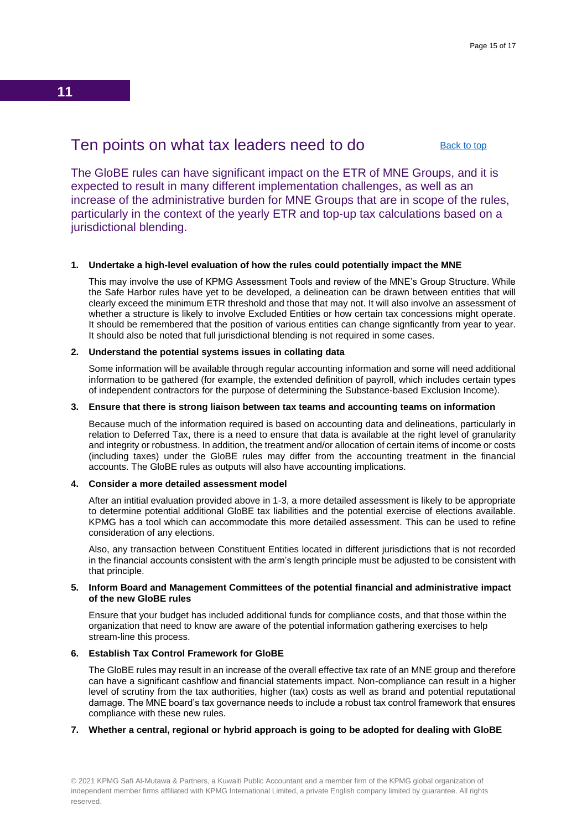## <span id="page-14-0"></span>Ten points on what tax leaders need to do

[Back to top](#page-0-0)

The GloBE rules can have significant impact on the ETR of MNE Groups, and it is expected to result in many different implementation challenges, as well as an increase of the administrative burden for MNE Groups that are in scope of the rules, particularly in the context of the yearly ETR and top-up tax calculations based on a jurisdictional blending.

#### **1. Undertake a high-level evaluation of how the rules could potentially impact the MNE**

This may involve the use of KPMG Assessment Tools and review of the MNE's Group Structure. While the Safe Harbor rules have yet to be developed, a delineation can be drawn between entities that will clearly exceed the minimum ETR threshold and those that may not. It will also involve an assessment of whether a structure is likely to involve Excluded Entities or how certain tax concessions might operate. It should be remembered that the position of various entities can change signficantly from year to year. It should also be noted that full jurisdictional blending is not required in some cases.

#### **2. Understand the potential systems issues in collating data**

Some information will be available through regular accounting information and some will need additional information to be gathered (for example, the extended definition of payroll, which includes certain types of independent contractors for the purpose of determining the Substance-based Exclusion Income).

#### **3. Ensure that there is strong liaison between tax teams and accounting teams on information**

Because much of the information required is based on accounting data and delineations, particularly in relation to Deferred Tax, there is a need to ensure that data is available at the right level of granularity and integrity or robustness. In addition, the treatment and/or allocation of certain items of income or costs (including taxes) under the GloBE rules may differ from the accounting treatment in the financial accounts. The GloBE rules as outputs will also have accounting implications.

#### **4. Consider a more detailed assessment model**

After an intitial evaluation provided above in 1-3, a more detailed assessment is likely to be appropriate to determine potential additional GloBE tax liabilities and the potential exercise of elections available. KPMG has a tool which can accommodate this more detailed assessment. This can be used to refine consideration of any elections.

Also, any transaction between Constituent Entities located in different jurisdictions that is not recorded in the financial accounts consistent with the arm's length principle must be adjusted to be consistent with that principle.

#### **5. Inform Board and Management Committees of the potential financial and administrative impact of the new GloBE rules**

Ensure that your budget has included additional funds for compliance costs, and that those within the organization that need to know are aware of the potential information gathering exercises to help stream-line this process.

#### **6. Establish Tax Control Framework for GloBE**

The GloBE rules may result in an increase of the overall effective tax rate of an MNE group and therefore can have a significant cashflow and financial statements impact. Non-compliance can result in a higher level of scrutiny from the tax authorities, higher (tax) costs as well as brand and potential reputational damage. The MNE board's tax governance needs to include a robust tax control framework that ensures compliance with these new rules.

#### **7. Whether a central, regional or hybrid approach is going to be adopted for dealing with GloBE**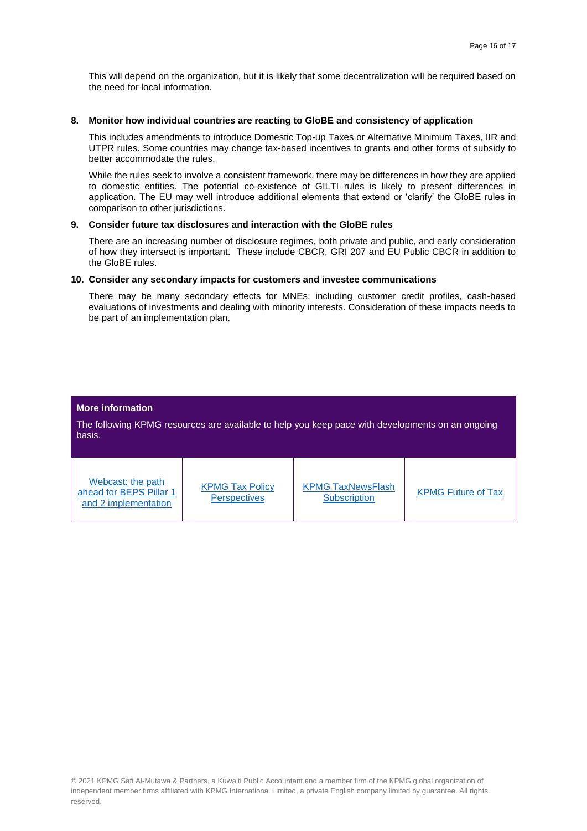This will depend on the organization, but it is likely that some decentralization will be required based on the need for local information.

#### **8. Monitor how individual countries are reacting to GloBE and consistency of application**

This includes amendments to introduce Domestic Top-up Taxes or Alternative Minimum Taxes, IIR and UTPR rules. Some countries may change tax-based incentives to grants and other forms of subsidy to better accommodate the rules.

While the rules seek to involve a consistent framework, there may be differences in how they are applied to domestic entities. The potential co-existence of GILTI rules is likely to present differences in application. The EU may well introduce additional elements that extend or 'clarify' the GloBE rules in comparison to other jurisdictions.

#### **9. Consider future tax disclosures and interaction with the GloBE rules**

There are an increasing number of disclosure regimes, both private and public, and early consideration of how they intersect is important. These include CBCR, GRI 207 and EU Public CBCR in addition to the GloBE rules.

#### **10. Consider any secondary impacts for customers and investee communications**

There may be many secondary effects for MNEs, including customer credit profiles, cash-based evaluations of investments and dealing with minority interests. Consideration of these impacts needs to be part of an implementation plan.

#### **More information**

The following KPMG resources are available to help you keep pace with developments on an ongoing basis.

| Webcast: the path<br>ahead for BEPS Pillar 1<br>and 2 implementation | <b>KPMG Tax Policy</b><br><b>Perspectives</b> | <b>KPMG TaxNewsFlash</b><br><b>Subscription</b> | <b>KPMG Future of Tax</b> |
|----------------------------------------------------------------------|-----------------------------------------------|-------------------------------------------------|---------------------------|